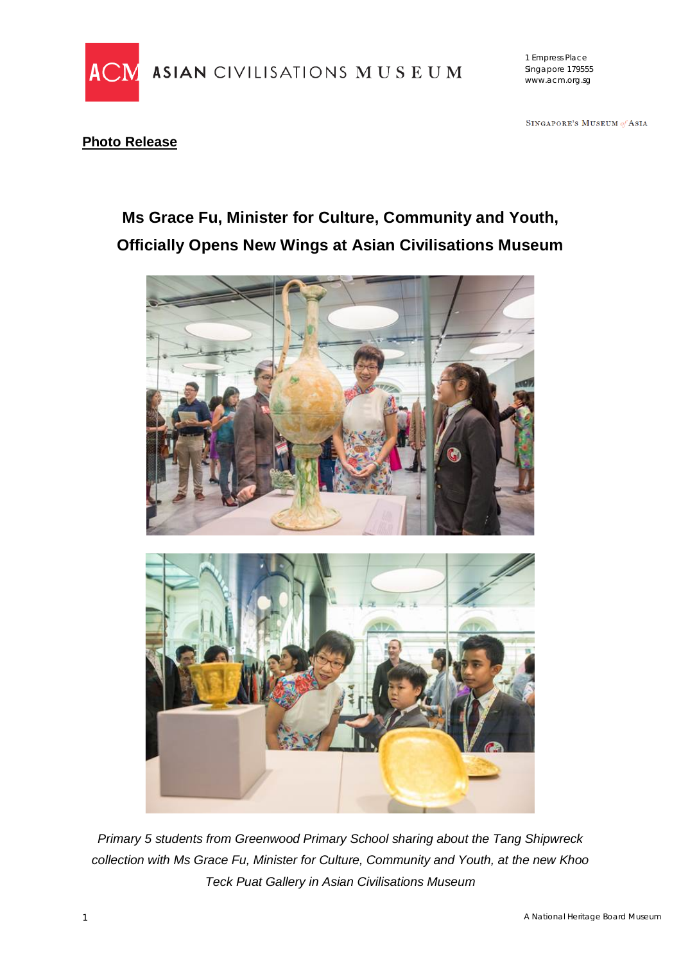

ASIAN CIVILISATIONS MUSEUM

1 Empress Place Singapore 179555 www.acm.org.sg

SINGAPORE'S MUSEUM of ASIA

## **Photo Release**

# **Ms Grace Fu, Minister for Culture, Community and Youth, Officially Opens New Wings at Asian Civilisations Museum**





*Primary 5 students from Greenwood Primary School sharing about the Tang Shipwreck collection with Ms Grace Fu, Minister for Culture, Community and Youth, at the new Khoo Teck Puat Gallery in Asian Civilisations Museum*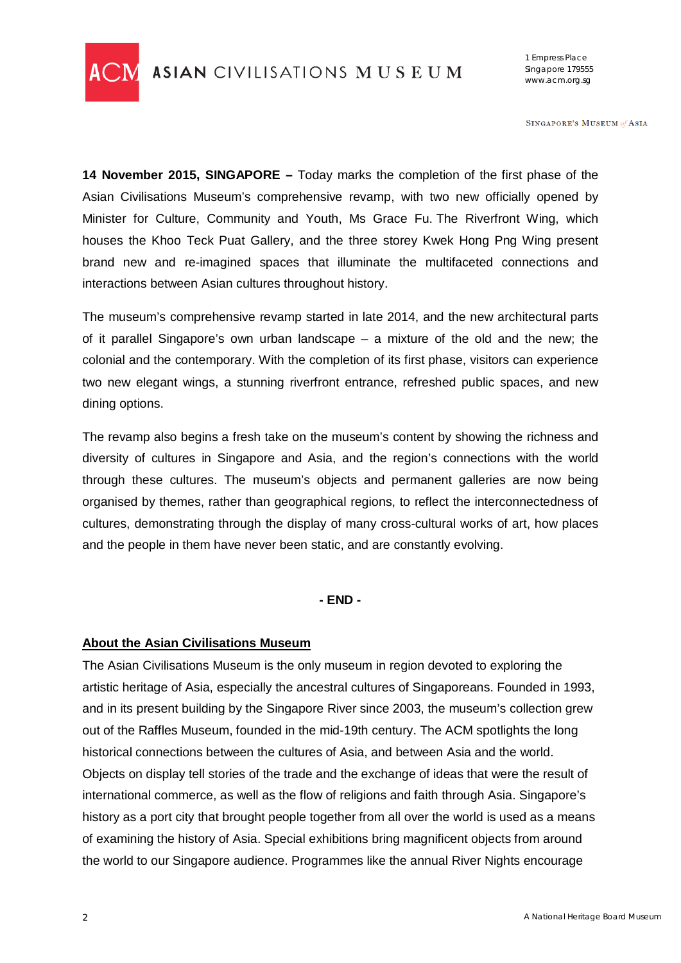

1 Empress Place Singapore 179555 www.acm.org.sg

SINGAPORE'S MUSEUM of ASIA

**14 November 2015, SINGAPORE –** Today marks the completion of the first phase of the Asian Civilisations Museum's comprehensive revamp, with two new officially opened by Minister for Culture, Community and Youth, Ms Grace Fu. The Riverfront Wing, which houses the Khoo Teck Puat Gallery, and the three storey Kwek Hong Png Wing present brand new and re-imagined spaces that illuminate the multifaceted connections and interactions between Asian cultures throughout history.

The museum's comprehensive revamp started in late 2014, and the new architectural parts of it parallel Singapore's own urban landscape – a mixture of the old and the new; the colonial and the contemporary. With the completion of its first phase, visitors can experience two new elegant wings, a stunning riverfront entrance, refreshed public spaces, and new dining options.

The revamp also begins a fresh take on the museum's content by showing the richness and diversity of cultures in Singapore and Asia, and the region's connections with the world through these cultures. The museum's objects and permanent galleries are now being organised by themes, rather than geographical regions, to reflect the interconnectedness of cultures, demonstrating through the display of many cross-cultural works of art, how places and the people in them have never been static, and are constantly evolving.

#### **- END -**

#### **About the Asian Civilisations Museum**

The Asian Civilisations Museum is the only museum in region devoted to exploring the artistic heritage of Asia, especially the ancestral cultures of Singaporeans. Founded in 1993, and in its present building by the Singapore River since 2003, the museum's collection grew out of the Raffles Museum, founded in the mid-19th century. The ACM spotlights the long historical connections between the cultures of Asia, and between Asia and the world. Objects on display tell stories of the trade and the exchange of ideas that were the result of international commerce, as well as the flow of religions and faith through Asia. Singapore's history as a port city that brought people together from all over the world is used as a means of examining the history of Asia. Special exhibitions bring magnificent objects from around the world to our Singapore audience. Programmes like the annual River Nights encourage